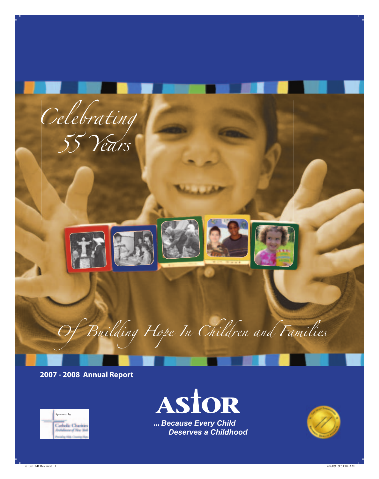

**2007 - 2008 Annual Report**





 **...** *Because Every Child Deserves a Childhood*

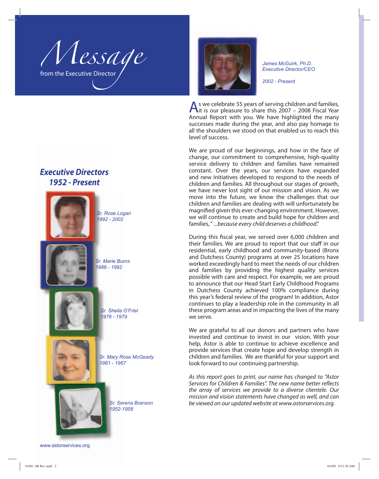Message From the Executive Director



*James McGuirk, Ph.D. Executive Director/CEO*

*2002 - Present*

As we celebrate 55 years of serving children and families, it is our pleasure to share this 2007 – 2008 Fiscal Year Annual Report with you. We have highlighted the many successes made during the year, and also pay homage to all the shoulders we stood on that enabled us to reach this level of success.

We are proud of our beginnings, and how in the face of change, our commitment to comprehensive, high-quality service delivery to children and families have remained constant. Over the years, our services have expanded and new initiatives developed to respond to the needs of children and families. All throughout our stages of growth, we have never lost sight of our mission and vision. As we move into the future, we know the challenges that our children and families are dealing with will unfortunately be magnified given this ever-changing environment. However, we will continue to create and build hope for children and families, " ...because every child deserves a childhood."

During this fiscal year, we served over 6,000 children and their families. We are proud to report that our staff in our residential, early childhood and community-based (Bronx and Dutchess County) programs at over 25 locations have worked exceedingly hard to meet the needs of our children and families by providing the highest quality services possible with care and respect. For example, we are proud to announce that our Head Start Early Childhood Programs in Dutchess County achieved 100% compliance during this year's federal review of the program! In addition, Astor continues to play a leadership role in the community in all these program areas and in impacting the lives of the many we serve.

We are grateful to all our donors and partners who have invested and continue to invest in our vision. With your help, Astor is able to continue to achieve excellence and provide services that create hope and develop strength in children and families. We are thankful for your support and look forward to our continuing partnership.

As this report goes to print, our name has changed to "Astor Services for Children & Families". The new name better reflects the array of services we provide to a diverse clientele. Our mission and vision statements have changed as well, and can be viewed on our updated website at www.astorservices.org.

### *Executive Directors 1952 - Present*



*Sr. Serena Branson*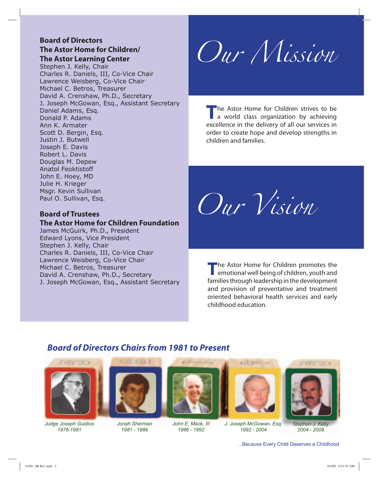### **Board of Directors The Astor Home for Children/**

**The Astor Learning Center**

Stephen J. Kelly, Chair Charles R. Daniels, III, Co-Vice Chair Lawrence Weisberg, Co-Vice Chair Michael C. Betros, Treasurer David A. Crenshaw, Ph.D., Secretary J. Joseph McGowan, Esq., Assistant Secretary Daniel Adams, Esq. Donald P. Adams Ann K. Armater Scott D. Bergin, Esq. Justin J. Butwell Joseph E. Davis Robert L. Davis Douglas M. Depew Anatol Feoktistoff John E. Hoey, MD Julie H. Krieger Msgr. Kevin Sullivan Paul O. Sullivan, Esq.

### **Board of Trustees**

### **The Astor Home for Children Foundation**

James McGuirk, Ph.D., President Edward Lyons, Vice President Stephen J. Kelly, Chair Charles R. Daniels, III, Co-Vice Chair Lawrence Weisberg, Co-Vice Chair Michael C. Betros, Treasurer David A. Crenshaw, Ph.D., Secretary J. Joseph McGowan, Esq., Assistant Secretary

Our Mission

The Astor Home for Children strives to be<br>a world class organization by achieving excellence in the delivery of all our services in order to create hope and develop strengths in children and families.

Our Vision

**T**he Astor Home for Children promotes the emotional well being of children, youth and families through leadership in the development and provision of preventative and treatment oriented behavioral health services and early childhood education.

### *Board of Directors Chairs from 1981 to Present*



*Judge Joseph Guidice 1976-1981*



*Jonah Sherman 1981 - 1986*



*John E. Mack, III 1986 - 1992*



*J. Joseph McGowan, Esq. 1992 - 2004*



*Stephen J. Kelly 2004 - 2008*

...Because Every Child Deserves a Childhood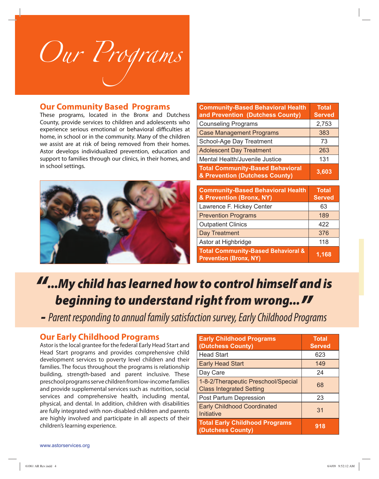

### **Our Community Based Programs**

These programs, located in the Bronx and Dutchess County, provide services to children and adolescents who experience serious emotional or behavioral difficulties at home, in school or in the community. Many of the children we assist are at risk of being removed from their homes. Astor develops individualized prevention, education and support to families through our clinics, in their homes, and in school settings.



| <b>Community-Based Behavioral Health</b><br>and Prevention (Dutchess County) | <b>Total</b><br><b>Served</b> |
|------------------------------------------------------------------------------|-------------------------------|
| <b>Counseling Programs</b>                                                   | 2,753                         |
| <b>Case Management Programs</b>                                              | 383                           |
| School-Age Day Treatment                                                     | 73                            |
| <b>Adolescent Day Treatment</b>                                              | 263                           |
| Mental Health/Juvenile Justice                                               | 131                           |
| <b>Total Community-Based Behavioral</b><br>& Prevention (Dutchess County)    | 3,603                         |

| <b>Community-Based Behavioral Health</b><br>& Prevention (Bronx, NY)           | <b>Total</b><br><b>Served</b> |
|--------------------------------------------------------------------------------|-------------------------------|
| Lawrence F. Hickey Center                                                      | 63                            |
| <b>Prevention Programs</b>                                                     | 189                           |
| <b>Outpatient Clinics</b>                                                      | 422                           |
| <b>Day Treatment</b>                                                           | 376                           |
| Astor at Highbridge                                                            | 118                           |
| <b>Total Community-Based Behavioral &amp;</b><br><b>Prevention (Bronx, NY)</b> | 1,168                         |

# *"...My child has learned how to control himself and is*

*beginning to understand right from wrong..." -* Parent responding to annual family satisfaction survey, Early Childhood Programs

### **Our Early Childhood Programs**

Astor is the local grantee for the federal Early Head Start and Head Start programs and provides comprehensive child development services to poverty level children and their families. The focus throughout the programs is relationship building, strength-based and parent inclusive. These preschool programs serve children from low-income families and provide supplemental services such as nutrition, social services and comprehensive health, including mental, physical, and dental. In addition, children with disabilities are fully integrated with non-disabled children and parents are highly involved and participate in all aspects of their children's learning experience.

| <b>Early Childhood Programs</b><br>(Dutchess County)                   | <b>Total</b><br><b>Served</b> |
|------------------------------------------------------------------------|-------------------------------|
| <b>Head Start</b>                                                      | 623                           |
| <b>Early Head Start</b>                                                | 149                           |
| Day Care                                                               | 24                            |
| 1-8-2/Therapeutic Preschool/Special<br><b>Class Integrated Setting</b> | 68                            |
| Post Partum Depression                                                 | 23                            |
| <b>Early Childhood Coordinated</b><br>Initiative                       | 31                            |
| <b>Total Early Childhood Programs</b><br>(Dutchess County)             | 918                           |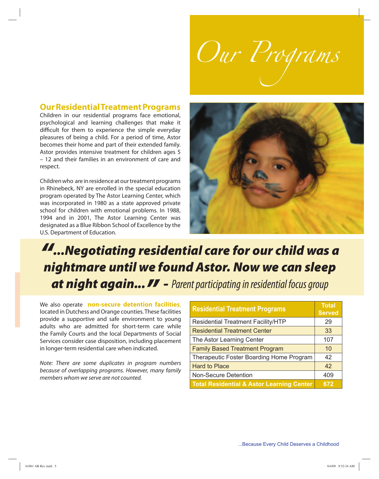

### **Our Residential Treatment Programs**

Children in our residential programs face emotional, psychological and learning challenges that make it difficult for them to experience the simple everyday pleasures of being a child. For a period of time, Astor becomes their home and part of their extended family. Astor provides intensive treatment for children ages 5 – 12 and their families in an environment of care and respect.

Children who are in residence at our treatment programs in Rhinebeck, NY are enrolled in the special education program operated by The Astor Learning Center, which was incorporated in 1980 as a state approved private school for children with emotional problems. In 1988, 1994 and in 2001, The Astor Learning Center was designated as a Blue Ribbon School of Excellence by the U.S. Department of Education.



## *"...Negotiating residential care for our child was a nightmare until we found Astor. Now we can sleep* **at night again...** *II* - Parent participating in residential focus group

We also operate **non-secure detention facilities**, located in Dutchess and Orange counties. These facilities provide a supportive and safe environment to young adults who are admitted for short-term care while the Family Courts and the local Departments of Social Services consider case disposition, including placement in longer-term residential care when indicated.

Note: There are some duplicates in program numbers because of overlapping programs. However, many family members whom we serve are not counted.

| <b>Residential Treatment Programs</b>                | <b>Total</b><br><b>Served</b> |
|------------------------------------------------------|-------------------------------|
| <b>Residential Treatment Facility/HTP</b>            | 29                            |
| <b>Residential Treatment Center</b>                  | 33                            |
| The Astor Learning Center                            | 107                           |
| <b>Family Based Treatment Program</b>                | 10                            |
| Therapeutic Foster Boarding Home Program             | 42                            |
| <b>Hard to Place</b>                                 | 42                            |
| <b>Non-Secure Detention</b>                          | 409                           |
| <b>Total Residential &amp; Astor Learning Center</b> | 672                           |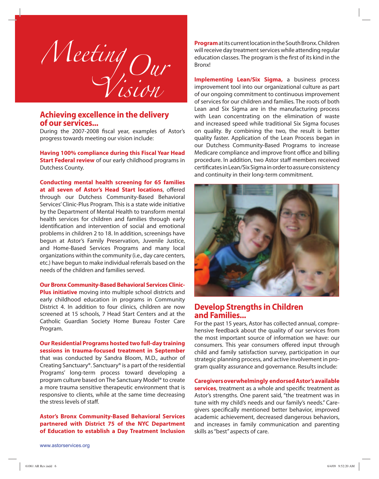

# **Achieving excellence in the delivery of our services...**

During the 2007-2008 fiscal year, examples of Astor's progress towards meeting our vision include:

**Having 100% compliance during this Fiscal Year Head Start Federal review** of our early childhood programs in Dutchess County.

**Conducting mental health screening for 65 families** at all seven of Astor's Head Start locations, offered through our Dutchess Community-Based Behavioral Services' Clinic-Plus Program. This is a state wide initiative by the Department of Mental Health to transform mental health services for children and families through early identification and intervention of social and emotional problems in children 2 to 18. In addition, screenings have begun at Astor's Family Preservation, Juvenile Justice, and Home-Based Services Programs and many local organizations within the community (i.e., day care centers, etc.) have begun to make individual referrals based on the needs of the children and families served.

**Our Bronx Community-Based Behavioral Services Clinic-Plus initiative** moving into multiple school districts and early childhood education in programs in Community District 4. In addition to four clinics, children are now screened at 15 schools, 7 Head Start Centers and at the Catholic Guardian Society Home Bureau Foster Care Program.

**Our Residential Programs hosted two full-day training sessions in trauma-focused treatment in September** that was conducted by Sandra Bloom, M.D., author of Creating Sanctuary®. Sanctuary® is a part of the residential Programs' long-term process toward developing a program culture based on The Sanctuary Model® to create

a more trauma sensitive therapeutic environment that is responsive to clients, while at the same time decreasing the stress levels of staff.

**Astor's Bronx Community-Based Behavioral Services partnered with District 75 of the NYC Department of Education to establish a Day Treatment Inclusion**

**Program** at its current location in the South Bronx. Children will receive day treatment services while attending regular education classes. The program is the first of its kind in the Bronx!

**Implementing Lean/Six Sigma,** a business process improvement tool into our organizational culture as part of our ongoing commitment to continuous improvement of services for our children and families. The roots of both Lean and Six Sigma are in the manufacturing process with Lean concentrating on the elimination of waste and increased speed while traditional Six Sigma focuses on quality. By combining the two, the result is better quality faster. Application of the Lean Process began in our Dutchess Community-Based Programs to increase Medicare compliance and improve front office and billing procedure. In addition, two Astor staff members received certificates in Lean/Six Sigma in order to assure consistency and continuity in their long-term commitment.



### **Develop Strengths in Children and Families...**

For the past 15 years, Astor has collected annual, comprehensive feedback about the quality of our services from the most important source of information we have: our consumers. This year consumers offered input through child and family satisfaction survey, participation in our strategic planning process, and active involvement in program quality assurance and governance. Results include:

### **Caregivers overwhelmingly endorsed Astor's available**

**services**, treatment as a whole and specific treatment as Astor's strengths. One parent said, "the treatment was in tune with my child's needs and our family's needs." Caregivers specifically mentioned better behavior, improved academic achievement, decreased dangerous behaviors, and increases in family communication and parenting skills as "best" aspects of care.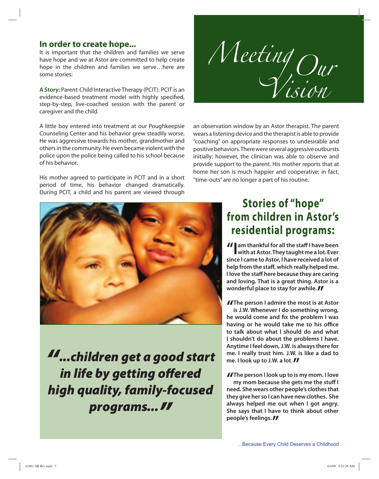### **In order to create hope...**

It is important that the children and families we serve have hope and we at Astor are committed to help create hope in the children and families we serve…here are some stories:

**A Story:** Parent-Child Interactive Therapy (PCIT). PCIT is an evidence-based treatment model with highly specified, step-by-step, live-coached session with the parent or caregiver and the child.

A little boy entered into treatment at our Poughkeepsie Counseling Center and his behavior grew steadily worse. He was aggressive towards his mother, grandmother and others in the community. He even became violent with the police upon the police being called to his school because of his behavior.

His mother agreed to participate in PCIT and in a short period of time, his behavior changed dramatically. During PCIT, a child and his parent are viewed through



an observation window by an Astor therapist. The parent wears a listening device and the therapist is able to provide "coaching" on appropriate responses to undesirable and positive behaviors. There were several aggressive outbursts initially; however, the clinician was able to observe and provide support to the parent. His mother reports that at home her son is much happier and cooperative; in fact, "time-outs" are no longer a part of his routine.



*"...children get a good start* in life by getting offered *high quality, family-focused* programs... **//** 

## **Stories of "hope" from children in Astor's residential programs:**

*II* am thankful for all the staff I have been **with at Astor. They taught me a lot. Ever since I came to Astor, I have received a lot of** help from the staff, which really helped me. **I love the staff here because they are caring and loving. That is a great thing. Astor is a wonderful place to stay for awhile. //** 

**II** The person I admire the most is at Astor<br>is J.W. Whenever I do something wrong, **is J.W. Whenever I do something wrong,** he would come and fix the problem I was having or he would take me to his office **to talk about what I should do and what I shouldn't do about the problems I have. Anytime I feel down, J.W. is always there for me. I really trust him. J.W. is like a dad to** me. I look up to J.W. a lot. **//** 

**The person I look up to is my mom. I love**<br> **my mom because she gets me the stuff I my mom because she gets me the stuff I need. She wears other people's clothes that they give her so I can have new clothes. She always helped me out when I got angry. She says that I have to think about other people's feelings."**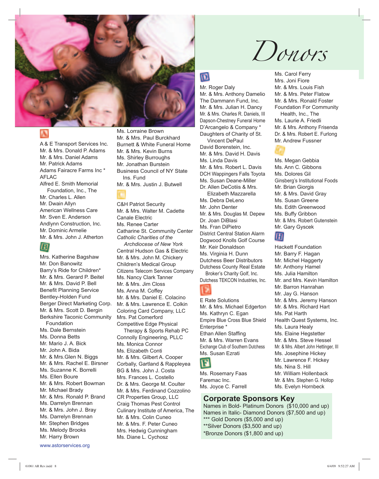

A & E Transport Services Inc. Mr. & Mrs. Donald P. Adams Mr. & Mrs. Daniel Adams Mr. Patrick Adams Adams Fairacre Farms Inc \* AFLAC Alfred E. Smith Memorial Foundation, Inc., The Mr. Charles L. Allen Mr. Dwain Allyn American Wellness Care Mr. Sven E. Anderson Andlynn Construction, Inc. Mr. Dominic Armelie Mr. & Mrs. John J. Atherton



Mrs. Katherine Bagshaw Mr. Don Banowitz Barry's Ride for Children\* Mr. & Mrs. Gerard P. Beitel Mr. & Mrs. David P. Bell Benefit Planning Service Bentley-Holden Fund Berger Direct Marketing Corp. Mr. & Mrs. Scott D. Bergin Berkshire Taconic Community Foundation Ms. Dale Bernstein Ms. Donna Betts Mr. Mario J. A. Bick Mr. John A. Bida Mr. & Mrs.Glen N. Biggs Mr. & Mrs. Rachel E. Birsner Ms. Suzanne K. Borrelli Ms. Ellen Boure Mr. & Mrs. Robert Bowman Mr. Michael Brady Mr. & Mrs. Ronald P. Brand Ms. Darrelyn Brennan Mr. & Mrs. John J. Bray Ms. Darrelyn Brennan Mr. Stephen Bridges Ms. Melody Brooks Mr. Harry Brown

www.astorservices.org

Ms. Lorraine Brown Mr. & Mrs. Paul Burckhard Burnett & White Funeral Home Mr. & Mrs. Kevin Burns Ms. Shirley Burroughs Mr. Jonathan Burstein Business Council of NY State Ins. Fund Mr. & Mrs. Justin J. Butwell

C&H Patriot Security Mr. & Mrs. Walter M. Cadette Canale Electric Ms. Renee Carter Catharine St. Community Center *Catholic Charities of the*

 *Archdiocese of New York* Central Hudson Gas & Electric Mr. & Mrs. John M. Chickery Children's Medical Group Citizens Telecom Services Company Ms. Nancy Clark Tanner Mr. & Mrs. Jim Closs Ms. Anna M. Coffey Mr. & Mrs. Daniel E. Colacino Mr. & Mrs. Lawrence E. Colkin Coloring Card Company, LLC Mrs. Pat Comerford Competitive Edge Physical Therapy & Sports Rehab PC Connolly Engineering, PLLC Ms. Monica Connor Ms. Elizabeth Conti Mr. & Mrs. Gilbert A. Cooper Corbally, Gartland & Rappleyea BG & Mrs. John J. Costa Mrs. Frances L. Costello Dr. & Mrs. George M. Coulter Mr. & Mrs. Ferdinand Cozzolino CR Properties Group, LLC Craig Thomas Pest Control Culinary Institute of America, The Mr. & Mrs. Colin Cuneo Mr. & Mrs. F. Peter Cuneo Mrs. Hedwig Cunningham Ms. Diane L. Cychosz

# Donors

## $\overline{\mathbf{m}}$

Mr. Roger Daly Mr. & Mrs. Anthony Damelio The Dammann Fund, Inc. Mr. & Mrs. Julian H. Dancy Mr. & Mrs. Charles R. Daniels, III Dapson-Chestney Funeral Home D'Arcangelo & Company \* Daughters of Charity of St. Vincent DePaul David Borenstein, Inc. Mr. & Mrs. David H. Davis Ms. Linda Davis Mr. & Mrs. Robert L. Davis DCH Wappingers Falls Toyota Ms. Susan Deane-Miller Dr. Allen DeCotiis & Mrs. Elizabeth Mazzarella Ms. Debra DeLeno Mr. John Denter Mr. & Mrs. Douglas M. Depew Dr. Joan DiBlasi Ms. Fran DiPietro District Central Station Alarm Dogwood Knolls Golf Course Mr. Keir Donaldson Ms. Virginia H. Dunn Dutchess Beer Distributors Dutchess County Real Estate

Broker's Charity Golf, Inc. Dutchess TEKCON Industries, Inc.

E Rate Solutions Mr. & Mrs. Michael Edgerton Ms. Kathryn C. Egan Empire Blue Cross Blue Shield Enterprise \* Ethan Allen Staffing Mr. & Mrs. Warren Evans Exchange Club of Southern Dutchess Ms. Susan Ezrati r

Ms. Rosemary Faas Faremac Inc. Ms. Joyce C. Farrell

### **Corporate Sponsors Key**

Names in Bold- Platinum Donors (\$10,000 and up) Names in Italic- Diamond Donors (\$7,500 and up) \*\*\* Gold Donors (\$5,000 and up) \*\*Silver Donors (\$3,500 and up) \*Bronze Donors (\$1,800 and up)

Ms. Carol Ferry Mrs. Joni Fiore Mr. & Mrs. Louis Fish Mr. & Mrs. Peter Flatow Mr. & Mrs. Ronald Foster Foundation For Community Health, Inc., The Ms. Laurie A. Friedli Mr. & Mrs. Anthony Frisenda Dr. & Mrs. Robert E. Furlong Mr. Andrew Fussner

Ms. Megan Gebbia Ms. Ann C. Gibbons Ms. Dolores Gil Ginsberg's Institutional Foods Mr. Brian Giorgis Mr. & Mrs. David Gray Ms. Susan Greene Ms. Edith Greenwood Ms. Buffy Gribbon Mr. & Mrs. Robert Gutenstein Mr. Gary Gyscek

### 'I I

Hackett Foundation Mr. Barry F. Hagan Mr. Michel Haggerty Mr. Anthony Hamel Ms. Julia Hamilton Mr. and Mrs. Kevin Hamilton Mr. Barron Hanrahan Mr. Jay G. Hanson Mr. & Mrs. Jeremy Hanson Mr. & Mrs. Richard Hart Ms. Pat Harth Health Quest Systems, Inc. Ms. Laura Healy Ms. Elaine Hegstetter Mr. & Mrs. Steve Hessel Mr. & Mrs. Albert John Hettinger, III Ms. Josephine Hickey Mr. Lawrence F. Hickey Ms. Nina S. Hill Mr. William Hollenback Mr. & Mrs. Stephen G. Hollop Ms. Evelyn Hornbeck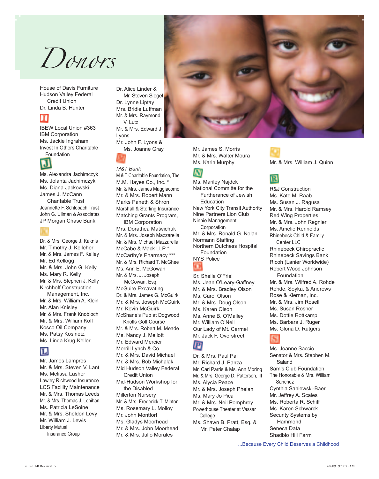

House of Davis Furniture Hudson Valley Federal Credit Union Dr. Linda B. Hunter



IBEW Local Union #363 IBM Corporation Ms. Jackie Ingraham Invest In Others Charitable Foundation



Ms. Alexandra Jachimczyk Ms. Jolanta Jachimczyk Ms. Diana Jackowski James J. McCann Charitable Trust Jeannette F. Schlobach Trust John G. Ullman & Associates JP Morgan Chase Bank



Dr. & Mrs. George J. Kaknis Mr. Timothy J. Kelleher Mr. & Mrs. James F. Kelley Mr. Ed Kellogg Mr. & Mrs. John G. Kelly Ms. Mary R. Kelly Mr. & Mrs. Stephen J. Kelly Kirchhoff Construction Management, Inc. Mr. & Mrs. William A. Klein Mr. Alan Knisley Mr. & Mrs. Frank Knobloch Mr. & Mrs. William Koff Kosco Oil Company Ms. Patsy Kosinetz Ms. Linda Krug-Keller

### Ш

Mr. James Lampros Mr. & Mrs. Steven V. Lant Ms. Melissa Lasher Lawley Richwood Insurance LCS Facility Maintenance Mr. & Mrs. Thomas Leeds Mr. & Mrs. Thomas J. Lenihan Ms. Patricia LeSoine Mr. & Mrs. Sheldon Levy Mr. William J. Lewis Liberty Mutual Insurance Group

Dr. Alice Linder & Mr. Steven Siegel Dr. Lynne Liptay Mrs. Bridie Luffman Mr. & Mrs. Raymond V. Lutz Mr. & Mrs. Edward J. Lyons Mr. John F. Lyons & Ms. Joanne Gray

### *M&T Bank*

M & T Charitable Foundation, The M.M. Hayes Co., Inc. \* Mr. & Mrs. James Maggiacomo Mr. & Mrs. Robert Mann Marks Paneth & Shron Marshall & Sterling Insurance Matching Grants Program,

 IBM Corporation Mrs. Dorathea Matwichuk Mr. & Mrs. Joseph Mazzarella Mr. & Mrs. Michael Mazzarella McCabe & Mack LLP \* McCarthy's Pharmacy \*\*\* Mr. & Mrs. Richard T. McGhee Ms. Ann E. McGowan Mr. & Mrs. J. Joseph McGowan, Esq. McGuire Excavating Dr. & Mrs. James G. McGuirk Mr. & Mrs. Joseph McGuirk Mr. Kevin McGuirk McShane's Pub at Dogwood Knolls Golf Course Mr. & Mrs. Robert M. Meade Ms. Nancy J. Mellott Mr. Edward Mercier Merrill Lynch & Co. Mr. & Mrs. David Michael Mr. & Mrs. Bob Michalak Mid Hudson Valley Federal Credit Union Mid-Hudson Workshop for the Disabled Millerton Nursery Mr. & Mrs. Frederick T. Minton Ms. Rosemary L. Molloy Mr. John Montfort Ms. Gladys Moorhead Mr. & Mrs. John Moorhead Mr. & Mrs. Julio Morales

Mr. James S. Morris Mr. & Mrs. Walter Moura Ms. Karin Murphy

### W

Ms. Mariley Najdek National Committe for the Furtherance of Jewish **Education** New York City Transit Authority Nine Partners Lion Club Ninnie Management **Corporation** Mr. & Mrs. Ronald G. Nolan Normann Staffing Northern Dutchess Hospital Foundation NYS Police Sr. Sheila O'Friel Ms. Jean O'Leary-Gaffney Mr. & Mrs. Bradley Olson Ms. Carol Olson Mr. & Mrs. Doug Olson Ms. Karen Olson

Ms. Anne B. O'Malley Mr. William O'Neil Our Lady of Mt. Carmel Mr. Jack F. Overstreet

**IP** 

Dr. & Mrs. Paul Pai Mr. Richard J. Panza Mr. Carl Parris & Ms. Ann Moring Mr. & Mrs. George D. Patterson, III Ms. Alycia Peace Mr. & Mrs. Joseph Phelan Ms. Mary Jo Pica Mr. & Mrs. Neil Pomphrey Powerhouse Theater at Vassar College Ms. Shawn B. Pratt, Esq. & Mr. Peter Chalap

Mr. & Mrs. William J. Quinn



R&J Construction Ms. Kate M. Raab Ms. Susan J. Ragusa Mr. & Mrs. Harold Ramsey Red Wing Properties Mr. & Mrs. John Regnier Ms. Amelie Rennolds Rhinebeck Child & Family Center LLC Rhinebeck Chiropractic Rhinebeck Savings Bank Ricoh (Lanier Worldwide) Robert Wood Johnson Foundation Mr. & Mrs. Wilfred A. Rohde Rohde, Soyka, & Andrews Rose & Kiernan, Inc. Mr. & Mrs. Jim Rosell Ms. Susan Rosner Ms. Dottie Rottkamp Ms. Barbara J. Ruger Ms. Gloria D. Rutgers



Ms. Joanne Saccio Senator & Mrs. Stephen M. Saland Sam's Club Foundation The Honorable & Mrs. William Sanchez Cynthia Saniewski-Baer Mr. Jeffrey A. Scales Ms. Roberta R. Schiff Ms. Karen Schwarck Security Systems by Hammond Seneca Data Shadblo Hill Farm

...Because Every Child Deserves a Childhood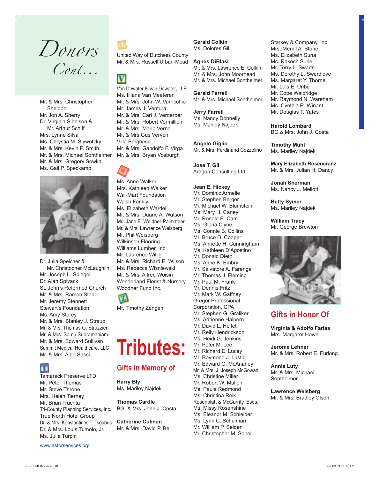Donors Cont...

Mr. & Mrs. Christopher Sheldon Mr. Jon A. Sherry Dr. Virginia Sibbison & Mr. Arthur Schiff Mrs. Lynne Silva Ms. Chrystia M. Slywotzky Mr. & Mrs. Kevin P. Smith Mr. & Mrs. Michael Sontheimer Mr. & Mrs. Gregory Sowka Ms. Gail P. Speckamp



Dr. Julia Speicher & Mr. Christopher McLaughlin Mr. Joseph L. Spiegel Dr. Alan Spivack St. John's Reformed Church Mr. & Mrs. Ramon Stade Mr. Jeremy Stennett Stewart's Foundation Ms. Amy Storey Mr. & Mrs. Stanley J. Straub Mr. & Mrs. Thomas G. Struzzieri Mr. & Mrs. Somu Subramaniam Mr. & Mrs. Edward Sullivan Summit Medical Healthcare, LLC Mr. & Mrs. Aldo Sussi



Tamarack Preserve LTD. Mr. Peter Thomas Mr. Steve Throne Mrs. Helen Tierney Mr. Brian Trachta Tri-County Planning Services, Inc. True North Hotel Group Dr. & Mrs. Konstantinos T. Tsoubris Dr. & Mrs. Louis Tumolo, Jr. Ms. Julie Turpin

United Way of Dutchess County Mr. & Mrs. Russell Urban-Mead

### V

Van Dewater & Van Dewater, LLP Ms. Illiana Van Meeteren Mr. & Mrs. John W. Varricchio Mr. James J. Ventura Mr. & Mrs. Carl J. Verderber Mr. & Mrs. Robert Vermillion Mr. & Mrs. Mario Verna Mr. & Mrs Gus Verven Villa Borghese Mr. & Mrs. Gandolfo F. Virga Mr. & Mrs. Bryan Vosburgh



Ms. Anne Walker Mrs. Kathleen Walker Wal-Mart Foundation Walsh Family Ms. Elizabeth Wardell Mr. & Mrs. Duane A. Watson Ms. Jane E. Weidner-Palmateer Mr. & Mrs. Lawrence Weisberg Mr. Phil Weisberg Wilkinson Flooring Williams Lumber, Inc. Mr. Laurence Willig Mr. & Mrs. Richard E. Wilson Ms. Rebecca Wisniewski Mr. & Mrs. Alfred Woisin Wonderland Florist & Nursery Woodner Fund Inc.



# **Tributes:**

### **Gifts in Memory of**

**Harry Bly** Ms. Mariley Najdek

**Thomas Cardle** BG. & Mrs. John J. Costa

**Catherine Culinan** Mr. & Mrs. David P. Bell **Gerald Colkin** Ms. Dolores Gil

### **Agnes DiBlasi**

Mr. & Mrs. Lawrence E. Colkin Mr. & Mrs. John Moorhead Mr. & Mrs. Michael Sontheimer

**Gerald Farrell** Mr. & Mrs. Michael Sontheimer

**Jerry Farrell** Ms. Nancy Donnelly Ms. Mariley Najdek

**Angelo Giglio** Mr. & Mrs. Ferdinand Cozzolino

**Jose T. Gil** Aragon Consulting Ltd.

### **Jean E. Hickey**

Mr. Dominic Armelie Mr. Stephen Berger Mr. Michael W. Blumstein Ms. Mary H. Carley Mr. Ronald E. Carr Ms. Gloria Clyne Ms. Connie B. Collins Mr. Bruce D. Cooper Ms. Annette H. Cunningham Ms. Kathleen D'Agostino Mr. Donald Dietz Ms. Anne K. Embry Mr. Salvatore A. Farenga Mr. Thomas J. Fleming Mr. Paul M. Frank Mr. Dennis Fritz Mr. Mark W. Gaffney Gregor Professional Corporation, CPA Mr. Stephen G. Graliker Ms. Adrienne Halpern Mr. David L. Helfet Mr. Reily Hendrickson Ms. Heidi G. Jenkins Mr. Peter M. Lee Mr. Richard E. Lucey Mr. Raymond J. Lustig Mr. Edward G. McAnaney Mr. & Mrs. J. Joseph McGowan Ms. Christine Miller Mr. Robert W. Mullen Ms. Paula Redmond Ms. Christina Reik Rosenblatt & McGarrity, Esqs. Ms. Missy Rosenshine Ms. Eleanor M. Schleider Ms. Lynn C. Schulman Mr. William P. Seiden Mr. Christopher M. Sobel

Starkey & Company, Inc. Mrs. Merrill A. Stone Ms. Elizabeth Suna Ms. Rakesh Surie Mr. Terry L. Swarts Ms. Dorothy L. Swerdlove Ms. Margaret Y. Thorne Mr. Luis E. Uribe Mr. Cope Walbridge Mr. Raymond N. Wareham Ms. Cynthia R. Winant Mr. Douglas T. Yates

**Harold Lombard** BG & Mrs. John J. Costa

**Timothy Muhl** Ms. Mariley Najdek

**Mary Elizabeth Rosencranz** Mr. & Mrs. Julian H. Dancy

**Jonah Sherman** Ms. Nancy J. Mellott

**Betty Symer** Ms. Mariley Najdek

**William Tracy** Mr. George Brewton



### **Gifts in Honor Of**

**Virginia & Adolfo Farias** Mrs. Margaret Howe

**Jerome Lehner** Mr. & Mrs. Robert E. Furlong

**Annie Luty** Mr. & Mrs. Michael Sontheimer

**Lawrence Weisberg** Mr. & Mrs. Bradley Olson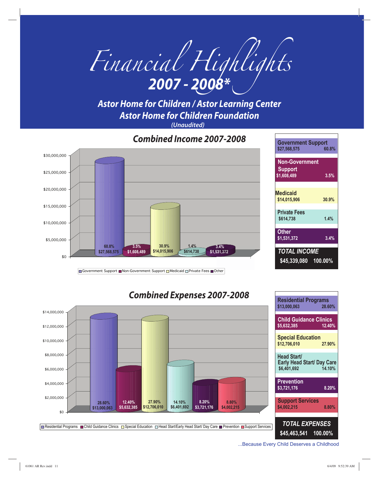

*Astor Home for Children / Astor Learning Center Astor Home for Children Foundation (Unaudited)*

\$0 \$5,000,000 \$10,000,000 \$15,000,000 \$20,000,000 \$25,000,000 \$30,000,000 *Combined Income 2007-2008* **Government Support \$27,568,575 60.8% Non-Government Support \$1,608,489 3.5% Medicaid \$14,015,906 30.9% Private Fees \$614,738 1.4% Other \$1,531,372 3.4%** *TOTAL INCOME* **\$45,339,080 100.00% \$27,568,575 60.8% \$1,608,489 3.5% \$14,015,906 30.9% \$614,738 \$1,531,372 531,372 1.4% 3.4%**

Government Support ■Non-Government Support ■Medicaid □Private Fees ■Other



...Because Every Child Deserves a Childhood